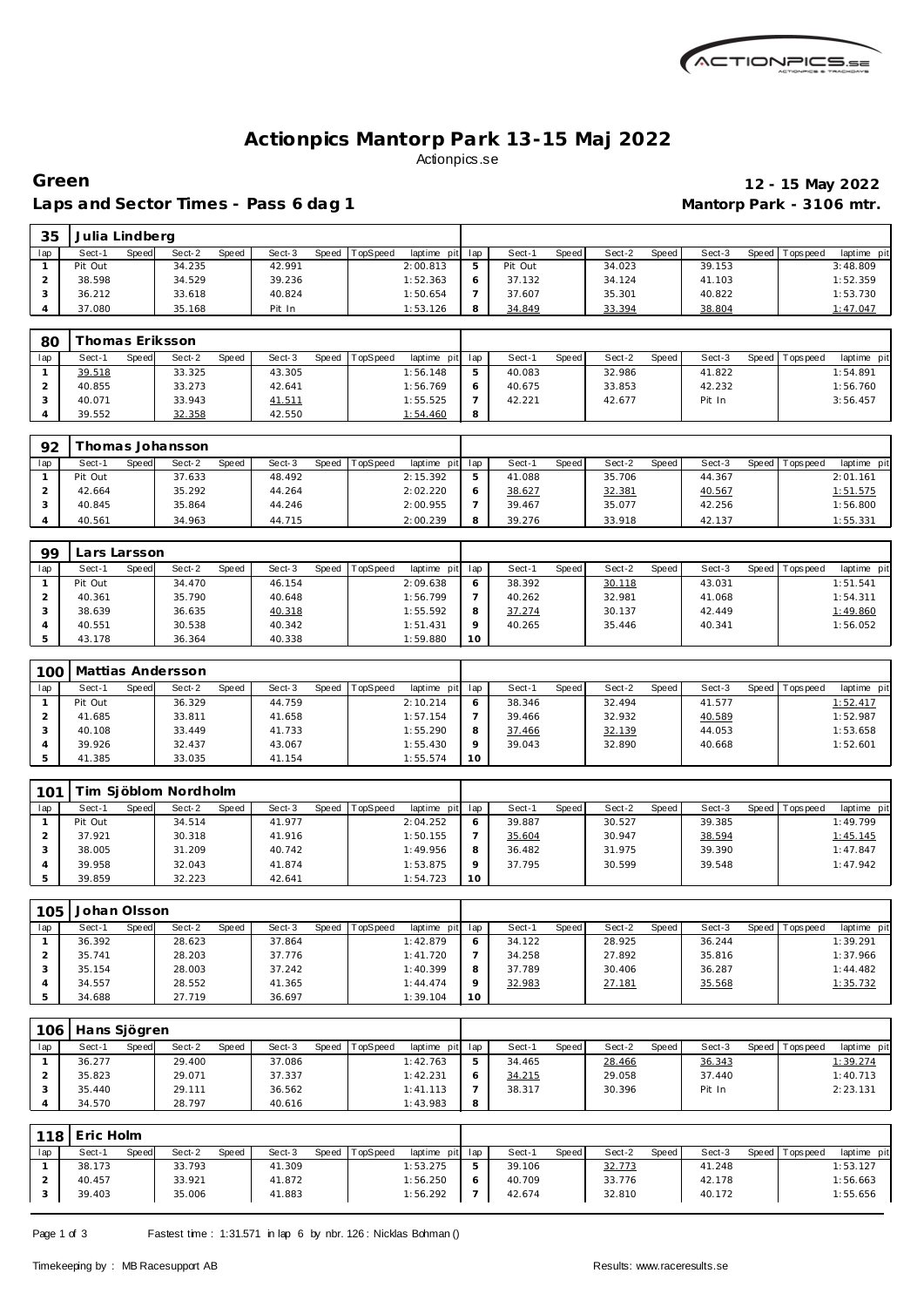

## **Actionpics Mantorp Park 13-15 Maj 2022** Actionpics.se

#### Laps and Sector Times - Pass 6 dag 1 **Mantorp Park - 3106 mtr.**

# **Green 12 - 15 May 2022**

| 35  | Julia Lindberg |       |        |       |        |       |         |             |     |         |       |        |         |        |         |           |             |
|-----|----------------|-------|--------|-------|--------|-------|---------|-------------|-----|---------|-------|--------|---------|--------|---------|-----------|-------------|
| lap | Sect-1         | Speed | Sect-2 | Speed | Sect-3 | Speed | opSpeed | laptime pit | lap | Sect-1  | Speed | Sect-2 | Speed I | Sect-3 | Speed I | Tops peed | laptime pit |
|     | Pit Out        |       | 34.235 |       | 42.991 |       |         | 2:00.813    |     | Pit Out |       | 34.023 |         | 39.153 |         |           | 3:48.809    |
|     | 38.598         |       | 34.529 |       | 39.236 |       |         | 1:52.363    |     | 37.132  |       | 34.124 |         | 41.103 |         |           | 1:52.359    |
|     | 36.212         |       | 33.618 |       | 40.824 |       |         | 1:50.654    |     | 37.607  |       | 35.301 |         | 40.822 |         |           | 1:53.730    |
|     | 37.080         |       | 35.168 |       | Pit In |       |         | 1:53.126    |     | 34.849  |       | 33.394 |         | 38.804 |         |           | 1:47.047    |

| 80  |        |       | homas Eriksson |              |        |       |                 |                 |   |        |       |        |       |        |                 |                |
|-----|--------|-------|----------------|--------------|--------|-------|-----------------|-----------------|---|--------|-------|--------|-------|--------|-----------------|----------------|
| lap | Sect-1 | Speed | Sect-2         | <b>Speed</b> | Sect-3 | Speed | <b>TopSpeed</b> | laptime pit lap |   | Sect-1 | Speed | Sect-2 | Speed | Sect-3 | Speed Tops peed | laptime<br>pit |
|     | 39.518 |       | 33.325         |              | 43.305 |       |                 | 1:56.148        |   | 40.083 |       | 32.986 |       | 41.822 |                 | 1:54.891       |
|     | 40.855 |       | 33.273         |              | 42.641 |       |                 | 1:56.769        |   | 40.675 |       | 33.853 |       | 42.232 |                 | 1:56.760       |
|     | 40.071 |       | 33.943         |              | 41.511 |       |                 | 1:55.525        |   | 42.221 |       | 42.677 |       | Pit In |                 | 3:56.457       |
|     | 39.552 |       | 32.358         |              | 42.550 |       |                 | 1:54.460        | 8 |        |       |        |       |        |                 |                |

| 92  |         |       | homas Johansson |       |        |       |          |                 |   |        |       |        |       |        |                |                |
|-----|---------|-------|-----------------|-------|--------|-------|----------|-----------------|---|--------|-------|--------|-------|--------|----------------|----------------|
| lap | Sect-1  | Speed | Sect-2          | Speed | Sect-3 | Speed | TopSpeed | laptime pit lap |   | Sect-  | Speed | Sect-2 | Speed | Sect-3 | Speed Topspeed | pit<br>laptime |
|     | Pit Out |       | 37.633          |       | 48.492 |       |          | 2:15.392        | 5 | 41.088 |       | 35.706 |       | 44.367 |                | 2:01.161       |
|     | 42.664  |       | 35.292          |       | 44.264 |       |          | 2:02.220        |   | 38.627 |       | 32.381 |       | 40.567 |                | 1:51.575       |
|     | 40.845  |       | 35.864          |       | 44.246 |       |          | 2:00.955        |   | 39.467 |       | 35.077 |       | 42.256 |                | 1:56.800       |
|     | 40.561  |       | 34.963          |       | 44.715 |       |          | 2:00.239        | 8 | 39.276 |       | 33.918 |       | 42.137 |                | 1:55.331       |

| 99  | Lars Larsson. |       |        |       |        |       |          |             |         |        |       |        |       |        |       |            |             |
|-----|---------------|-------|--------|-------|--------|-------|----------|-------------|---------|--------|-------|--------|-------|--------|-------|------------|-------------|
| lap | Sect-1        | Speed | Sect-2 | Speed | Sect-3 | Speed | TopSpeed | laptime pit | lap     | Sect-1 | Speed | Sect-2 | Speed | Sect-3 | Speed | Tops pee d | laptime pit |
|     | Pit Out       |       | 34.470 |       | 46.154 |       |          | 2:09.638    | 6       | 38.392 |       | 30.118 |       | 43.031 |       |            | 1:51.541    |
|     | 40.361        |       | 35.790 |       | 40.648 |       |          | 1:56.799    |         | 40.262 |       | 32.981 |       | 41.068 |       |            | 1:54.311    |
|     | 38.639        |       | 36.635 |       | 40.318 |       |          | 1:55.592    | 8       | 37.274 |       | 30.137 |       | 42.449 |       |            | 1:49.860    |
|     | 40.551        |       | 30.538 |       | 40.342 |       |          | 1:51.431    | $\circ$ | 40.265 |       | 35.446 |       | 40.341 |       |            | 1:56.052    |
|     | 43.178        |       | 36.364 |       | 40.338 |       |          | 1:59.880    | 10      |        |       |        |       |        |       |            |             |

|     | 100   Mattias Andersson |       |        |       |        |       |                 |                 |           |        |       |        |       |        |                   |             |
|-----|-------------------------|-------|--------|-------|--------|-------|-----------------|-----------------|-----------|--------|-------|--------|-------|--------|-------------------|-------------|
| lap | Sect-1                  | Speed | Sect-2 | Speed | Sect-3 | Speed | <b>TopSpeed</b> | laptime pit lap |           | Sect-1 | Speed | Sect-2 | Speed | Sect-3 | Speed   Tops peed | laptime pit |
|     | Pit Out                 |       | 36.329 |       | 44.759 |       |                 | 2:10.214        |           | 38.346 |       | 32.494 |       | 41.577 |                   | 1:52.417    |
|     | 41.685                  |       | 33.811 |       | 41.658 |       |                 | 1:57.154        |           | 39.466 |       | 32.932 |       | 40.589 |                   | 1:52.987    |
|     | 40.108                  |       | 33.449 |       | 41.733 |       |                 | 1:55.290        |           | 37.466 |       | 32.139 |       | 44.053 |                   | 1:53.658    |
|     | 39.926                  |       | 32.437 |       | 43.067 |       |                 | 1:55.430        |           | 39.043 |       | 32.890 |       | 40.668 |                   | 1:52.601    |
|     | 41.385                  |       | 33.035 |       | 41.154 |       |                 | 1:55.574        | <b>10</b> |        |       |        |       |        |                   |             |

| 101 |         |       | Fim Sjöblom Nordholm |       |        |         |                 |                 |    |        |       |        |       |        |                 |             |
|-----|---------|-------|----------------------|-------|--------|---------|-----------------|-----------------|----|--------|-------|--------|-------|--------|-----------------|-------------|
| lap | Sect-1  | Speed | Sect-2               | Speed | Sect-3 | Speed T | <b>TopSpeed</b> | laptime pit lap |    | Sect-1 | Speed | Sect-2 | Speed | Sect-3 | Speed Tops peed | laptime pit |
|     | Pit Out |       | 34.514               |       | 41.977 |         |                 | 2:04.252        |    | 39.887 |       | 30.527 |       | 39.385 |                 | 1:49.799    |
|     | 37.921  |       | 30.318               |       | 41.916 |         |                 | 1:50.155        |    | 35.604 |       | 30.947 |       | 38.594 |                 | 1:45.145    |
|     | 38.005  |       | 31.209               |       | 40.742 |         |                 | 1:49.956        |    | 36.482 |       | 31.975 |       | 39.390 |                 | 1:47.847    |
|     | 39.958  |       | 32.043               |       | 41.874 |         |                 | 1:53.875        |    | 37.795 |       | 30.599 |       | 39.548 |                 | 1:47.942    |
|     | 39.859  |       | 32.223               |       | 42.641 |         |                 | 1:54.723        | 10 |        |       |        |       |        |                 |             |

| 105 | Johan Olsson |       |        |       |        |       |                 |             |     |        |       |        |       |        |         |            |             |
|-----|--------------|-------|--------|-------|--------|-------|-----------------|-------------|-----|--------|-------|--------|-------|--------|---------|------------|-------------|
| lap | Sect-1       | Speed | Sect-2 | Speed | Sect-3 | Speed | <b>TopSpeed</b> | laptime pit | lap | Sect-1 | Speed | Sect-2 | Speed | Sect-3 | Speed I | T ops peed | laptime pit |
|     | 36.392       |       | 28.623 |       | 37.864 |       |                 | 1:42.879    |     | 34.122 |       | 28.925 |       | 36.244 |         |            | 1:39.291    |
|     | 35.741       |       | 28.203 |       | 37.776 |       |                 | 1:41.720    |     | 34.258 |       | 27.892 |       | 35.816 |         |            | 1:37.966    |
|     | 35.154       |       | 28.003 |       | 37.242 |       |                 | 1:40.399    | 8   | 37.789 |       | 30.406 |       | 36.287 |         |            | 1:44.482    |
|     | 34.557       |       | 28.552 |       | 41.365 |       |                 | 1:44.474    |     | 32.983 |       | 27.181 |       | 35.568 |         |            | 1:35.732    |
|     | 34.688       |       | 27.719 |       | 36.697 |       |                 | 1:39.104    | 10  |        |       |        |       |        |         |            |             |

| 106 | Hans Sjögren |       |        |       |        |       |          |                 |        |       |        |       |        |                   |             |
|-----|--------------|-------|--------|-------|--------|-------|----------|-----------------|--------|-------|--------|-------|--------|-------------------|-------------|
| lap | Sect-1       | Speed | Sect-2 | Speed | Sect-3 | Speed | TopSpeed | laptime pit lap | Sect-1 | Speed | Sect-2 | Speed | Sect-3 | Speed   Tops peed | laptime pit |
|     | 36.277       |       | 29.400 |       | 37.086 |       |          | 1:42.763        | 34.465 |       | 28.466 |       | 36.343 |                   | 1:39.274    |
|     | 35.823       |       | 29.071 |       | 37.337 |       |          | 1:42.231        | 34.215 |       | 29.058 |       | 37.440 |                   | 1:40.713    |
|     | 35.440       |       | 29.111 |       | 36.562 |       |          | 1: 41.113       | 38.317 |       | 30.396 |       | Pit In |                   | 2:23.131    |
|     | 34.570       |       | 28.797 |       | 40.616 |       |          | 1:43.983        |        |       |        |       |        |                   |             |

|     | 118 Eric Holm |       |        |       |        |         |                 |                 |        |       |        |       |        |                 |             |
|-----|---------------|-------|--------|-------|--------|---------|-----------------|-----------------|--------|-------|--------|-------|--------|-----------------|-------------|
| lap | Sect-1        | Speed | Sect-2 | Speed | Sect-3 | Speed T | <b>TopSpeed</b> | laptime pit lap | Sect-1 | Speed | Sect-2 | Speed | Sect-3 | Speed Tops peed | laptime pit |
|     | 38.173        |       | 33.793 |       | 41.309 |         |                 | 1:53.275        | 39.106 |       | 32.773 |       | 41.248 |                 | 1:53.127    |
|     | 40.457        |       | 33.921 |       | 41.872 |         |                 | 1:56.250        | 40.709 |       | 33.776 |       | 42.178 |                 | 1:56.663    |
|     | 39.403        |       | 35.006 |       | 41.883 |         |                 | 1:56.292        | 42.674 |       | 32.810 |       | 40.172 |                 | 1:55.656    |

Page 1 of 3 Fastest time : 1:31.571 in lap 6 by nbr. 126 : Nicklas Bohman ()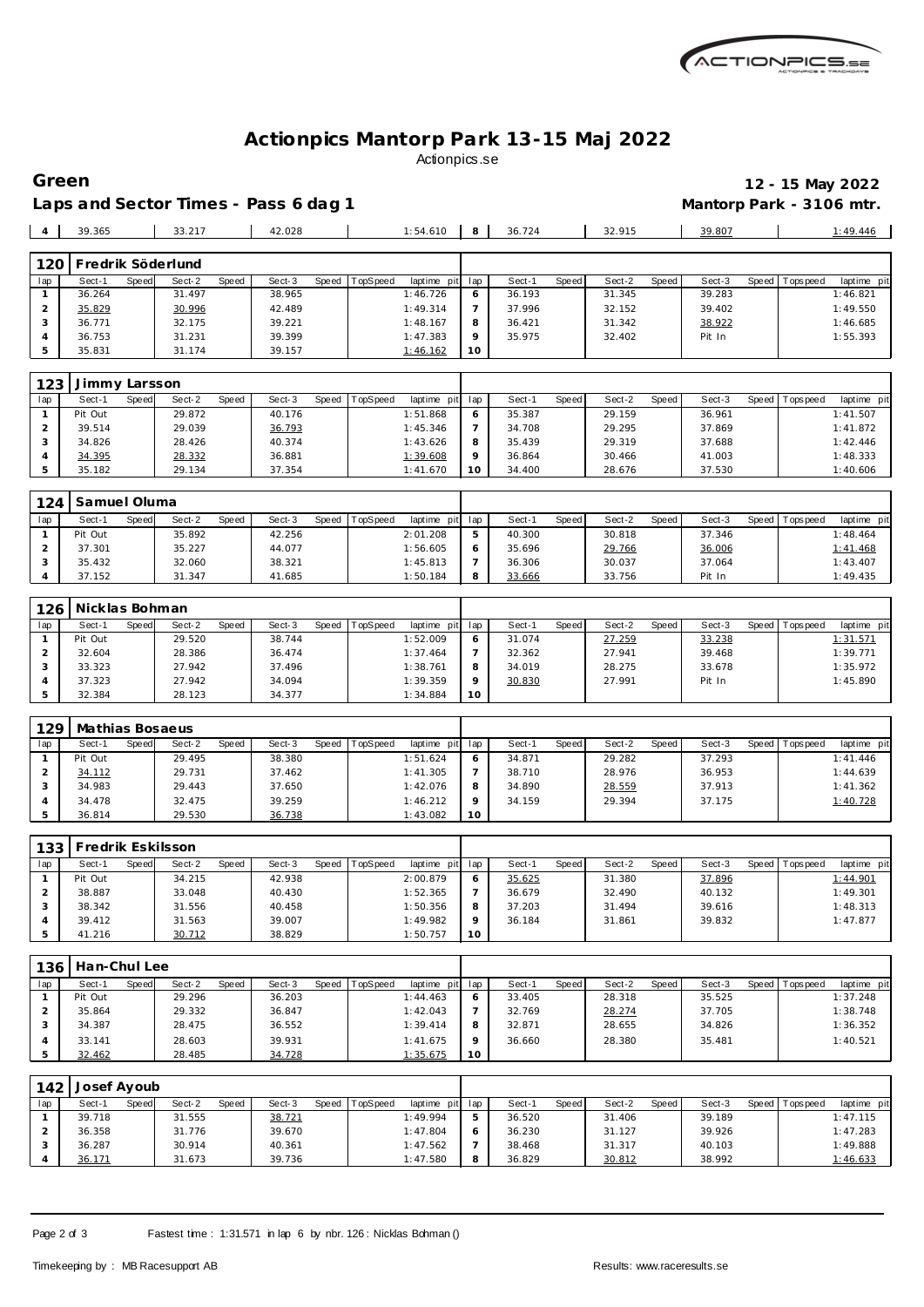

#### **Actionpics Mantorp Park 13-15 Maj 2022** Actionpics.se

Laps and Sector Times - Pass 6 dag 1 **Mantorp Park - 3106 mtr.** 

35.831 31.174 39.157 1:46.162 **10**

**Green 12 - 15 May 2022**

|     | 39.365 |       | 33.217            |       | 42.028 |       |          | 1:54.610    | 8       | 36.724 |       | 32.915 |       | 39.807 |                 | 1:49.446    |
|-----|--------|-------|-------------------|-------|--------|-------|----------|-------------|---------|--------|-------|--------|-------|--------|-----------------|-------------|
|     |        |       |                   |       |        |       |          |             |         |        |       |        |       |        |                 |             |
| 120 |        |       | Fredrik Söderlund |       |        |       |          |             |         |        |       |        |       |        |                 |             |
| lap | Sect-1 | Speed | Sect-2            | Speed | Sect-3 | Speed | TopSpeed | laptime pit | lap     | Sect-1 | Speed | Sect-2 | Speed | Sect-3 | Speed Tops peed | laptime pit |
|     | 36.264 |       | 31.497            |       | 38.965 |       |          | 1:46.726    | 6       | 36.193 |       | 31.345 |       | 39.283 |                 | 1:46.821    |
|     | 35.829 |       | 30.996            |       | 42.489 |       |          | 1:49.314    |         | 37.996 |       | 32.152 |       | 39.402 |                 | 1:49.550    |
|     | 36.771 |       | 32.175            |       | 39.221 |       |          | 1:48.167    | 8       | 36.421 |       | 31.342 |       | 38.922 |                 | 1:46.685    |
|     | 36.753 |       | 31.231            |       | 39.399 |       |          | 1:47.383    | $\circ$ | 35.975 |       | 32.402 |       | Pit In |                 | 1:55.393    |

| 123 | 'immy Larsson |       |        |       |        |       |                 |                 |    |        |       |        |       |        |         |           |             |
|-----|---------------|-------|--------|-------|--------|-------|-----------------|-----------------|----|--------|-------|--------|-------|--------|---------|-----------|-------------|
| lap | Sect-1        | Speed | Sect-2 | Speed | Sect-3 | Speed | <b>TopSpeed</b> | laptime pit lap |    | Sect-1 | Speed | Sect-2 | Speed | Sect-3 | Speed I | Tops peed | laptime pit |
|     | Pit Out       |       | 29.872 |       | 40.176 |       |                 | 1:51.868        |    | 35.387 |       | 29.159 |       | 36.961 |         |           | 1:41.507    |
|     | 39.514        |       | 29.039 |       | 36.793 |       |                 | 1:45.346        |    | 34.708 |       | 29.295 |       | 37.869 |         |           | 1:41.872    |
|     | 34.826        |       | 28.426 |       | 40.374 |       |                 | 1:43.626        |    | 35.439 |       | 29.319 |       | 37.688 |         |           | 1:42.446    |
|     | 34.395        |       | 28.332 |       | 36.881 |       |                 | 1:39.608        |    | 36.864 |       | 30.466 |       | 41.003 |         |           | 1:48.333    |
|     | 35.182        |       | 29.134 |       | 37.354 |       |                 | 1:41.670        | 10 | 34.400 |       | 28.676 |       | 37.530 |         |           | 1:40.606    |

| 124 | Samuel Oluma |       |        |       |        |       |          |                 |        |       |        |         |        |         |           |             |
|-----|--------------|-------|--------|-------|--------|-------|----------|-----------------|--------|-------|--------|---------|--------|---------|-----------|-------------|
| lap | Sect-′       | Speed | Sect-2 | Speed | Sect-3 | Speed | TopSpeed | laptime pit lap | Sect-1 | Speed | Sect-2 | Speed I | Sect-3 | Speed ' | Tops peed | laptime pit |
|     | Pit Out      |       | 35.892 |       | 42.256 |       |          | 2:01.208        | 40.300 |       | 30.818 |         | 37.346 |         |           | 1:48.464    |
|     | 37.301       |       | 35.227 |       | 44.077 |       |          | 1:56.605        | 35.696 |       | 29.766 |         | 36.006 |         |           | 1:41.468    |
|     | 35.432       |       | 32.060 |       | 38.321 |       |          | 1:45.813        | 36.306 |       | 30.037 |         | 37.064 |         |           | 1:43.407    |
|     | 37.152       |       | 31.347 |       | 41.685 |       |          | 1:50.184        | 33.666 |       | 33.756 |         | Pit In |         |           | 1:49.435    |

| 126 <sub>1</sub> | Nicklas Bohman |       |        |       |        |       |          |                 |    |        |       |        |       |        |         |            |             |
|------------------|----------------|-------|--------|-------|--------|-------|----------|-----------------|----|--------|-------|--------|-------|--------|---------|------------|-------------|
| lap              | Sect-1         | Speed | Sect-2 | Speed | Sect-3 | Speed | TopSpeed | laptime pit lap |    | Sect-1 | Speed | Sect-2 | Speed | Sect-3 | Speed I | T ops peed | laptime pit |
|                  | Pit Out        |       | 29.520 |       | 38.744 |       |          | 1:52.009        |    | 31.074 |       | 27.259 |       | 33.238 |         |            | 1:31.571    |
|                  | 32.604         |       | 28.386 |       | 36.474 |       |          | 1:37.464        |    | 32.362 |       | 27.941 |       | 39.468 |         |            | 1:39.771    |
|                  | 33.323         |       | 27.942 |       | 37.496 |       |          | 1:38.761        |    | 34.019 |       | 28.275 |       | 33.678 |         |            | 1:35.972    |
|                  | 37.323         |       | 27.942 |       | 34.094 |       |          | 1:39.359        |    | 30.830 |       | 27.991 |       | Pit In |         |            | 1:45.890    |
|                  | 32.384         |       | 28.123 |       | 34.377 |       |          | 1:34.884        | 10 |        |       |        |       |        |         |            |             |

| 129 | Mathias Bosaeus |       |        |       |        |       |                 |             |     |        |       |        |       |        |         |             |             |
|-----|-----------------|-------|--------|-------|--------|-------|-----------------|-------------|-----|--------|-------|--------|-------|--------|---------|-------------|-------------|
| lap | Sect-1          | Speed | Sect-2 | Speed | Sect-3 | Speed | <b>TopSpeed</b> | laptime pit | lap | Sect-1 | Speed | Sect-2 | Speed | Sect-3 | Speed I | T ops pee d | laptime pit |
|     | Pit Out         |       | 29.495 |       | 38.380 |       |                 | 1:51.624    |     | 34.871 |       | 29.282 |       | 37.293 |         |             | 1: 41.446   |
|     | 34.112          |       | 29.731 |       | 37.462 |       |                 | 1:41.305    |     | 38.710 |       | 28.976 |       | 36.953 |         |             | 1:44.639    |
|     | 34.983          |       | 29.443 |       | 37.650 |       |                 | 1:42.076    |     | 34.890 |       | 28.559 |       | 37.913 |         |             | 1:41.362    |
|     | 34.478          |       | 32.475 |       | 39.259 |       |                 | 1:46.212    |     | 34.159 |       | 29.394 |       | 37.175 |         |             | 1:40.728    |
|     | 36.814          |       | 29.530 |       | 36.738 |       |                 | 1:43.082    | 10  |        |       |        |       |        |         |             |             |

| 133 | Fredrik Eskilsson |       |        |       |        |       |          |                 |          |        |       |        |       |        |                   |             |
|-----|-------------------|-------|--------|-------|--------|-------|----------|-----------------|----------|--------|-------|--------|-------|--------|-------------------|-------------|
| lap | Sect-1            | Speed | Sect-2 | Speed | Sect-3 | Speed | TopSpeed | laptime pit lap |          | Sect-1 | Speed | Sect-2 | Speed | Sect-3 | Speed   Tops peed | laptime pit |
|     | Pit Out           |       | 34.215 |       | 42.938 |       |          | 2:00.879        |          | 35.625 |       | 31.380 |       | 37.896 |                   | 1:44.901    |
|     | 38.887            |       | 33.048 |       | 40.430 |       |          | 1:52.365        |          | 36.679 |       | 32.490 |       | 40.132 |                   | 1:49.301    |
|     | 38.342            |       | 31.556 |       | 40.458 |       |          | 1:50.356        |          | 37.203 |       | 31.494 |       | 39.616 |                   | 1:48.313    |
|     | 39.412            |       | 31.563 |       | 39.007 |       |          | 1:49.982        | $\Omega$ | 36.184 |       | 31.861 |       | 39.832 |                   | 1:47.877    |
|     | 41.216            |       | 30.712 |       | 38.829 |       |          | 1:50.757        | 10       |        |       |        |       |        |                   |             |

|     | Han-Chul Lee<br>136 |       |        |       |        |       |                 |                 |         |        |              |        |              |        |                   |             |
|-----|---------------------|-------|--------|-------|--------|-------|-----------------|-----------------|---------|--------|--------------|--------|--------------|--------|-------------------|-------------|
| lap | Sect-1              | Speed | Sect-2 | Speed | Sect-3 | Speed | <b>TopSpeed</b> | laptime pit lap |         | Sect-1 | <b>Speed</b> | Sect-2 | <b>Speed</b> | Sect-3 | Speed   Tops peed | laptime pit |
|     | Pit Out             |       | 29.296 |       | 36.203 |       |                 | 1:44.463        | O       | 33.405 |              | 28.318 |              | 35.525 |                   | 1:37.248    |
|     | 35.864              |       | 29.332 |       | 36.847 |       |                 | 1:42.043        |         | 32.769 |              | 28.274 |              | 37.705 |                   | 1:38.748    |
|     | 34.387              |       | 28.475 |       | 36.552 |       |                 | 1:39.414        | 8       | 32.871 |              | 28.655 |              | 34.826 |                   | 1:36.352    |
|     | 33.141              |       | 28.603 |       | 39.931 |       |                 | 1:41.675        | $\circ$ | 36.660 |              | 28.380 |              | 35.481 |                   | 1:40.521    |
|     | 32.462              |       | 28.485 |       | 34.728 |       |                 | 1:35.675        | 10      |        |              |        |              |        |                   |             |

| 142 | Josef Ayoub |       |        |       |        |       |          |                 |   |        |       |        |       |        |         |             |             |
|-----|-------------|-------|--------|-------|--------|-------|----------|-----------------|---|--------|-------|--------|-------|--------|---------|-------------|-------------|
| lap | Sect-1      | Speed | Sect-2 | Speed | Sect-3 | Speed | TopSpeed | laptime pit lap |   | Sect-1 | Speed | Sect-2 | Speed | Sect-3 | Speed I | T ops pee d | laptime pit |
|     | 39.718      |       | 31.555 |       | 38.721 |       |          | 1:49.994        | 5 | 36.520 |       | 31.406 |       | 39.189 |         |             | 1:47.115    |
|     | 36.358      |       | 31.776 |       | 39.670 |       |          | 1:47.804        | 6 | 36.230 |       | 31.127 |       | 39.926 |         |             | 1:47.283    |
|     | 36.287      |       | 30.914 |       | 40.361 |       |          | 1:47.562        |   | 38.468 |       | 31.317 |       | 40.103 |         |             | 1:49.888    |
|     | 36.171      |       | 31.673 |       | 39.736 |       |          | 1:47.580        | 8 | 36.829 |       | 30.812 |       | 38.992 |         |             | 1:46.633    |

Page 2 of 3 Fastest time : 1:31.571 in lap 6 by nbr. 126 : Nicklas Bohman ()